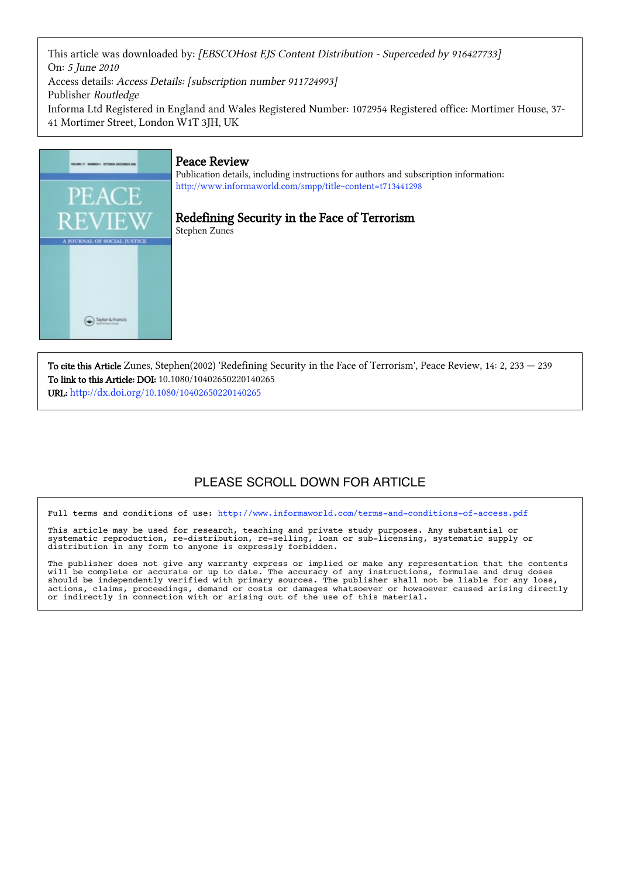This article was downloaded by: [EBSCOHost EJS Content Distribution - Superceded by 916427733] On: 5 June 2010 Access details: Access Details: [subscription number 911724993] Publisher Routledge Informa Ltd Registered in England and Wales Registered Number: 1072954 Registered office: Mortimer House, 37-41 Mortimer Street, London W1T 3JH, UK



To cite this Article Zunes, Stephen(2002) 'Redefining Security in the Face of Terrorism', Peace Review, 14: 2, 233 - 239 To link to this Article: DOI: 10.1080/10402650220140265 URL: http://dx.doi.org/10.1080/10402650220140265

## PLEASE SCROLL DOWN FOR ARTICLE

Full terms and conditions of use:<http://www.informaworld.com/terms-and-conditions-of-access.pdf>

This article may be used for research, teaching and private study purposes. Any substantial or systematic reproduction, re-distribution, re-selling, loan or sub-licensing, systematic supply or distribution in any form to anyone is expressly forbidden.

The publisher does not give any warranty express or implied or make any representation that the contents will be complete or accurate or up to date. The accuracy of any instructions, formulae and drug doses should be independently verified with primary sources. The publisher shall not be liable for any loss, actions, claims, proceedings, demand or costs or damages whatsoever or howsoever caused arising directly or indirectly in connection with or arising out of the use of this material.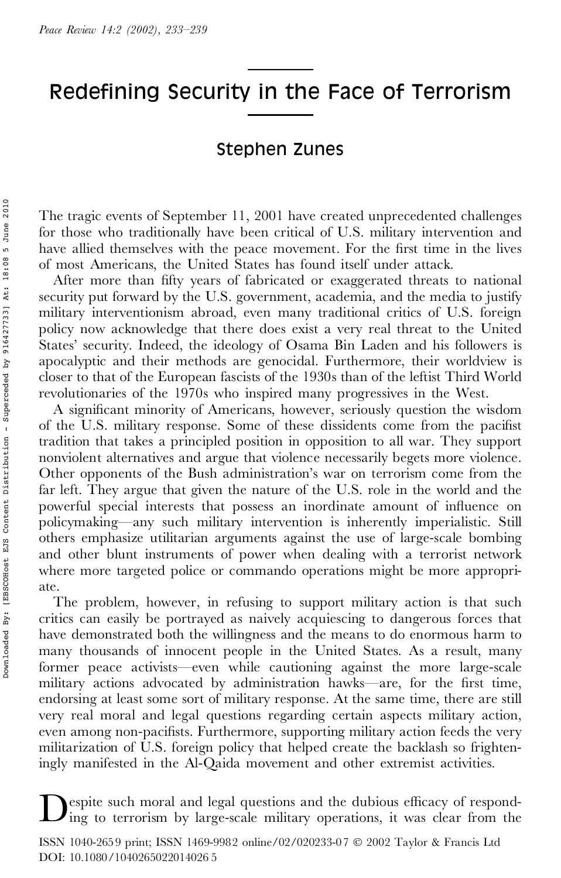## Redefining Security in the Face of Terrorism

## Stephen Zunes

The tragic events of September 11, 2001 have created unprecedented challenges for those who traditionally have been critical of U.S. military intervention and have allied themselves with the peace movement. For the first time in the lives of most Americans, the United States has found itself under attack.

After more than fifty years of fabricated or exaggerated threats to national security put forward by the U.S. government, academia, and the media to justify military interventionism abroad, even many traditional critics of U.S. foreign policy now acknowledge that there does exist a very real threat to the United States' security. Indeed, the ideology of Osama Bin Laden and his followers is apocalyptic and their methods are genocidal. Furthermore, their worldview is closer to that of the European fascists of the 1930s than of the leftist Third World revolutionaries of the 1970s who inspired many progressives in the West.

A significant minority of Americans, however, seriously question the wisdom of the U.S. military response. Some of these dissidents come from the pacifist tradition that takes a principled position in opposition to all war. They support nonviolent alternatives and argue that violence necessarily begets more violence. Other opponents of the Bush administration's war on terrorism come from the far left. They argue that given the nature of the U.S. role in the world and the powerful special interests that possess an inordinate amount of influence on policymaking—any such military intervention is inherently imperialistic. Still others emphasize utilitarian arguments against the use of large-scale bombing and other blunt instruments of power when dealing with a terrorist network where more targeted police or commando operations might be more appropriate.

The problem, however, in refusing to support military action is that such critics can easily be portrayed as naively acquiescing to dangerous forces that have demonstrated both the willingness and the means to do enormous harm to many thousands of innocent people in the United States. As a result, many former peace activists—even while cautioning against the more large-scale military actions advocated by administration hawks—are, for the first time, endorsing at least some sort of military response. At the same time, there are still very real moral and legal questions regarding certain aspects military action, even among non-pacifists. Furthermore, supporting military action feeds the very militarization of U.S. foreign policy that helped create the backlash so frighteningly manifested in the Al-Qaida movement and other extremist activities.

espite such moral and legal questions and the dubious efficacy of respond- $\mathcal{J}$ ing to terrorism by large-scale military operations, it was clear from the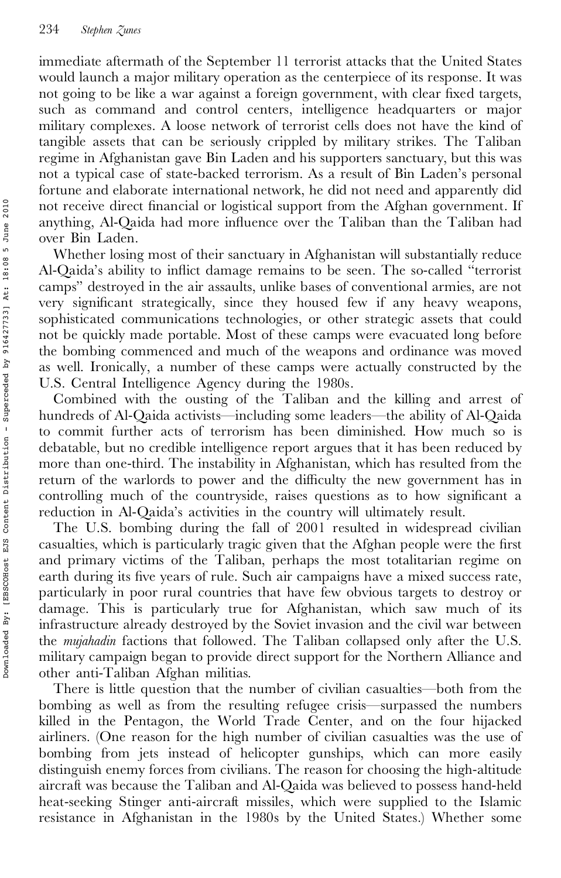immediate aftermath of the September 11 terrorist attacks that the United States would launch a major military operation as the centerpiece of its response. It was not going to be like a war against a foreign government, with clear fixed targets, such as command and control centers, intelligence headquarters or major military complexes. A loose network of terrorist cells does not have the kind of tangible assets that can be seriously crippled by military strikes. The Taliban regime in Afghanistan gave Bin Laden and his supporters sanctuary, but this was not a typical case of state-backed terrorism. As a result of Bin Laden's personal fortune and elaborate international network, he did not need and apparently did not receive direct financial or logistical support from the Afghan government. If anything, Al-Qaida had more influence over the Taliban than the Taliban had over Bin Laden.

Whether losing most of their sanctuary in Afghanistan will substantially reduce Al-Qaida's ability to inflict damage remains to be seen. The so-called "terrorist camps" destroyed in the air assaults, unlike bases of conventional armies, are not very significant strategically, since they housed few if any heavy weapons, sophisticated communications technologies, or other strategic assets that could not be quickly made portable. Most of these camps were evacuated long before the bombing commenced and much of the weapons and ordinance was moved as well. Ironically, a number of these camps were actually constructed by the U.S. Central Intelligence Agency during the 1980s.

Combined with the ousting of the Taliban and the killing and arrest of hundreds of Al-Qaida activists—including some leaders—the ability of Al-Qaida to commit further acts of terrorism has been diminished. How much so is debatable, but no credible intelligence report argues that it has been reduced by more than one-third. The instability in Afghanistan, which has resulted from the return of the warlords to power and the difficulty the new government has in controlling much of the countryside, raises questions as to how significant a reduction in Al-Qaida's activities in the country will ultimately result.

The U.S. bombing during the fall of 2001 resulted in widespread civilian casualties, which is particularly tragic given that the Afghan people were the first and primary victims of the Taliban, perhaps the most totalitarian regime on earth during its five years of rule. Such air campaigns have a mixed success rate, particularly in poor rural countries that have few obvious targets to destroy or damage. This is particularly true for Afghanistan, which saw much of its infrastructure already destroyed by the Soviet invasion and the civil war between the *mujahadin* factions that followed. The Taliban collapsed only after the U.S. military campaign began to provide direct support for the Northern Alliance and other anti-Taliban Afghan militias.

There is little question that the number of civilian casualties—both from the bombing as well as from the resulting refugee crisis—surpassed the numbers killed in the Pentagon, the World Trade Center, and on the four hijacked airliners. (One reason for the high number of civilian casualties was the use of bombing from jets instead of helicopter gunships, which can more easily distinguish enemy forces from civilians. The reason for choosing the high-altitude aircraft was because the Taliban and Al-Qaida was believed to possess hand-held heat-seeking Stinger anti-aircraft missiles, which were supplied to the Islamic resistance in Afghanistan in the 1980s by the United States.) Whether some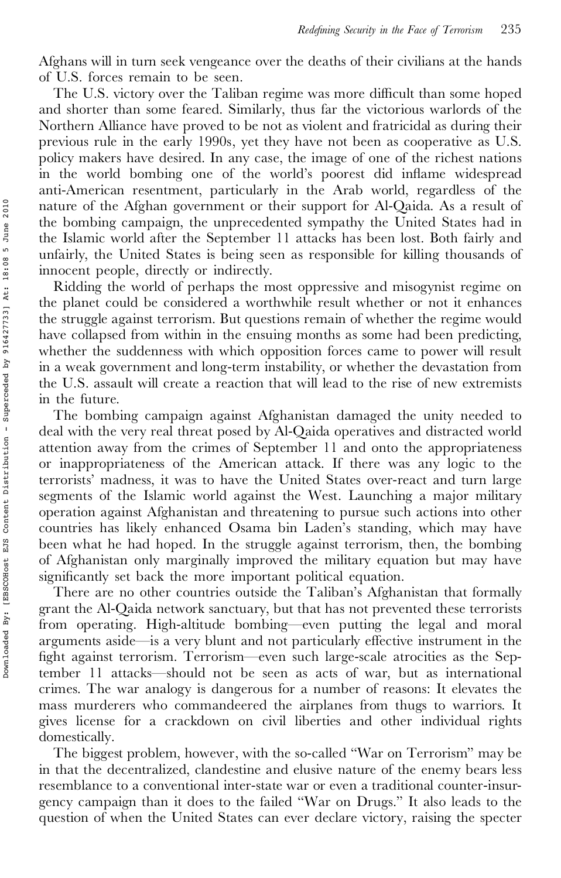Afghans will in turn seek vengeance over the deaths of their civilians at the hands of U.S. forces remain to be seen.

The U.S. victory over the Taliban regime was more difficult than some hoped and shorter than some feared. Similarly, thus far the victorious warlords of the Northern Alliance have proved to be not as violent and fratricidal as during their previous rule in the early 1990s, yet they have not been as cooperative as U.S. policy makers have desired. In any case, the image of one of the richest nations in the world bombing one of the world's poorest did inflame widespread anti-American resentment, particularly in the Arab world, regardless of the nature of the Afghan government or their support for Al-Qaida. As a result of the bombing campaign, the unprecedented sympathy the United States had in the Islamic world after the September 11 attacks has been lost. Both fairly and unfairly, the United States is being seen as responsible for killing thousands of innocent people, directly or indirectly.

Ridding the world of perhaps the most oppressive and misogynist regime on the planet could be considered a worthwhile result whether or not it enhances the struggle against terrorism. But questions remain of whether the regime would have collapsed from within in the ensuing months as some had been predicting, whether the suddenness with which opposition forces came to power will result in a weak government and long-term instability, or whether the devastation from the U.S. assault will create a reaction that will lead to the rise of new extremists in the future.

The bombing campaign against Afghanistan damaged the unity needed to deal with the very real threat posed by Al-Qaida operatives and distracted world attention away from the crimes of September 11 and onto the appropriateness or inappropriateness of the American attack. If there was any logic to the terrorists' madness, it was to have the United States over-react and turn large segments of the Islamic world against the West. Launching a major military operation against Afghanistan and threatening to pursue such actions into other countries has likely enhanced Osama bin Laden's standing, which may have been what he had hoped. In the struggle against terrorism, then, the bombing of Afghanistan only marginally improved the military equation but may have significantly set back the more important political equation.

There are no other countries outside the Taliban's Afghanistan that formally grant the Al-Qaida network sanctuary, but that has not prevented these terrorists from operating. High-altitude bombing—even putting the legal and moral arguments aside—is a very blunt and not particularly effective instrument in the !ght against terrorism. Terrorism—even such large-scale atrocities as the September 11 attacks—should not be seen as acts of war, but as international crimes. The war analogy is dangerous for a number of reasons: It elevates the mass murderers who commandeered the airplanes from thugs to warriors. It gives license for a crackdown on civil liberties and other individual rights domestically.

The biggest problem, however, with the so-called "War on Terrorism" may be in that the decentralized, clandestine and elusive nature of the enemy bears less resemblance to a conventional inter-state war or even a traditional counter-insurgency campaign than it does to the failed "War on Drugs." It also leads to the question of when the United States can ever declare victory, raising the specter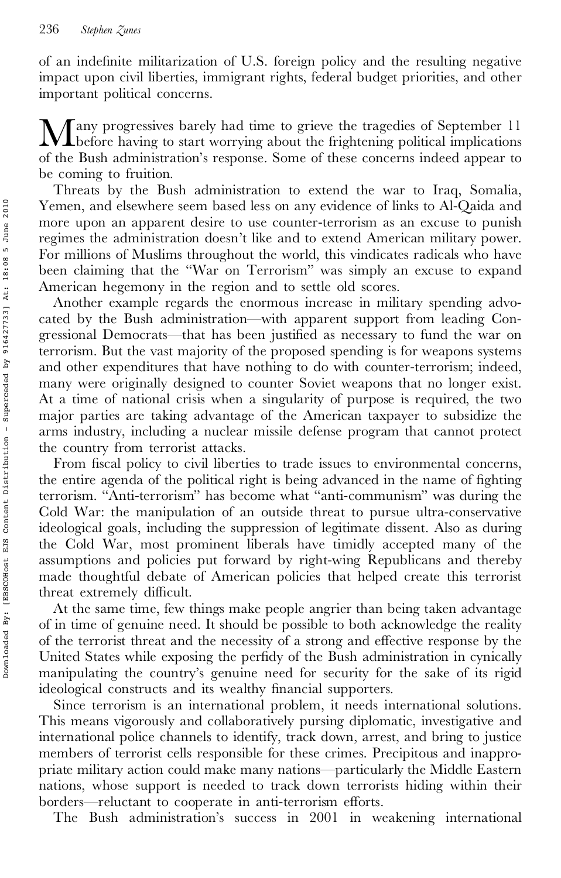of an indefinite militarization of U.S. foreign policy and the resulting negative impact upon civil liberties, immigrant rights, federal budget priorities, and other important political concerns.

Many progressives barely had time to grieve the tragedies of September 11<br>before having to start worrying about the frightening political implications of the Bush administration's response. Some of these concerns indeed appear to be coming to fruition.

Threats by the Bush administration to extend the war to Iraq, Somalia, Yemen, and elsewhere seem based less on any evidence of links to Al-Qaida and more upon an apparent desire to use counter-terrorism as an excuse to punish regimes the administration doesn't like and to extend American military power. For millions of Muslims throughout the world, this vindicates radicals who have been claiming that the "War on Terrorism" was simply an excuse to expand American hegemony in the region and to settle old scores.

Another example regards the enormous increase in military spending advocated by the Bush administration—with apparent support from leading Congressional Democrats—that has been justified as necessary to fund the war on terrorism. But the vast majority of the proposed spending is for weapons systems and other expenditures that have nothing to do with counter-terrorism; indeed, many were originally designed to counter Soviet weapons that no longer exist. At a time of national crisis when a singularity of purpose is required, the two major parties are taking advantage of the American taxpayer to subsidize the arms industry, including a nuclear missile defense program that cannot protect the country from terrorist attacks.

From fiscal policy to civil liberties to trade issues to environmental concerns, the entire agenda of the political right is being advanced in the name of fighting terrorism. "Anti-terrorism" has become what "anti-communism" was during the Cold War: the manipulation of an outside threat to pursue ultra-conservative ideological goals, including the suppression of legitimate dissent. Also as during the Cold War, most prominent liberals have timidly accepted many of the assumptions and policies put forward by right-wing Republicans and thereby made thoughtful debate of American policies that helped create this terrorist threat extremely difficult.

At the same time, few things make people angrier than being taken advantage of in time of genuine need. It should be possible to both acknowledge the reality of the terrorist threat and the necessity of a strong and effective response by the United States while exposing the perfidy of the Bush administration in cynically manipulating the country's genuine need for security for the sake of its rigid ideological constructs and its wealthy financial supporters.

Since terrorism is an international problem, it needs international solutions. This means vigorously and collaboratively pursing diplomatic, investigative and international police channels to identify, track down, arrest, and bring to justice members of terrorist cells responsible for these crimes. Precipitous and inappropriate military action could make many nations—particularly the Middle Eastern nations, whose support is needed to track down terrorists hiding within their borders—reluctant to cooperate in anti-terrorism efforts.

The Bush administration's success in 2001 in weakening international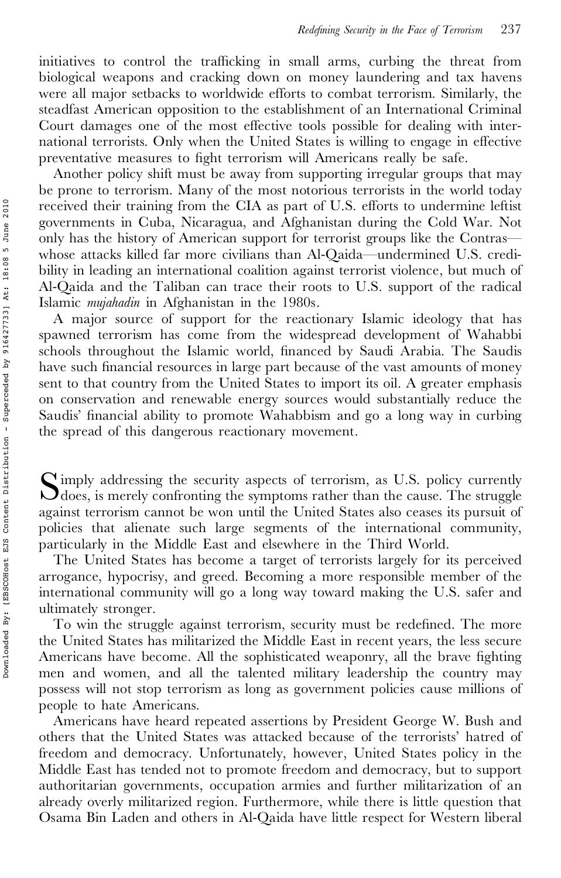initiatives to control the trafficking in small arms, curbing the threat from biological weapons and cracking down on money laundering and tax havens were all major setbacks to worldwide efforts to combat terrorism. Similarly, the steadfast American opposition to the establishment of an International Criminal Court damages one of the most effective tools possible for dealing with international terrorists. Only when the United States is willing to engage in effective preventative measures to fight terrorism will Americans really be safe.

Another policy shift must be away from supporting irregular groups that may be prone to terrorism. Many of the most notorious terrorists in the world today received their training from the CIA as part of U.S. efforts to undermine leftist governments in Cuba, Nicaragua, and Afghanistan during the Cold War. Not only has the history of American support for terrorist groups like the Contras whose attacks killed far more civilians than Al-Qaida—undermined U.S. credibility in leading an international coalition against terrorist violence, but much of Al-Qaida and the Taliban can trace their roots to U.S. support of the radical Islamic *mujahadin* in Afghanistan in the 1980s.

A major source of support for the reactionary Islamic ideology that has spawned terrorism has come from the widespread development of Wahabbi schools throughout the Islamic world, financed by Saudi Arabia. The Saudis have such financial resources in large part because of the vast amounts of money sent to that country from the United States to import its oil. A greater emphasis on conservation and renewable energy sources would substantially reduce the Saudis' financial ability to promote Wahabbism and go a long way in curbing the spread of this dangerous reactionary movement.

Simply addressing the security aspects of terrorism, as U.S. policy currently does, is merely confronting the symptoms rather than the cause. The struggle against terrorism cannot be won until the United States also ceases its pursuit of policies that alienate such large segments of the international community, particularly in the Middle East and elsewhere in the Third World.

The United States has become a target of terrorists largely for its perceived arrogance, hypocrisy, and greed. Becoming a more responsible member of the international community will go a long way toward making the U.S. safer and ultimately stronger.

To win the struggle against terrorism, security must be redefined. The more the United States has militarized the Middle East in recent years, the less secure Americans have become. All the sophisticated weaponry, all the brave fighting men and women, and all the talented military leadership the country may possess will not stop terrorism as long as government policies cause millions of people to hate Americans.

Americans have heard repeated assertions by President George W. Bush and others that the United States was attacked because of the terrorists' hatred of freedom and democracy. Unfortunately, however, United States policy in the Middle East has tended not to promote freedom and democracy, but to support authoritarian governments, occupation armies and further militarization of an already overly militarized region. Furthermore, while there is little question that Osama Bin Laden and others in Al-Qaida have little respect for Western liberal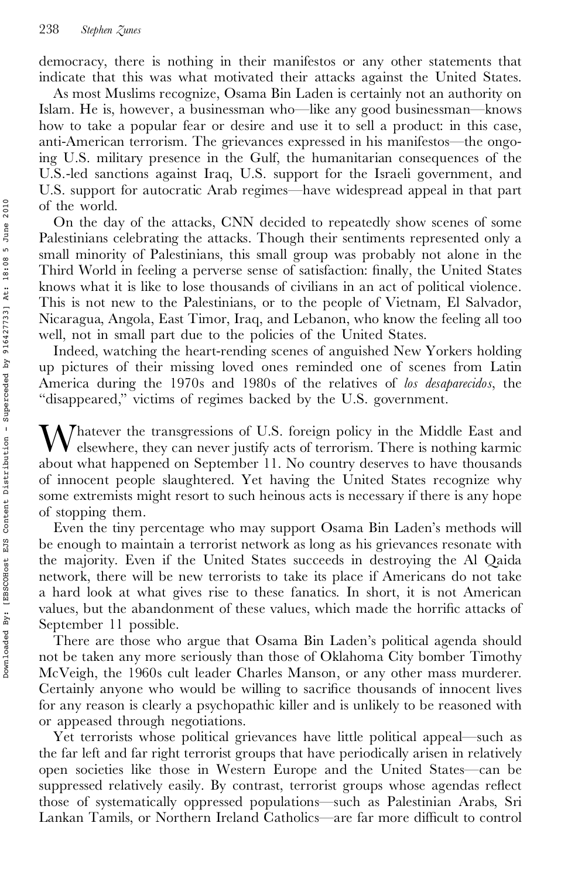democracy, there is nothing in their manifestos or any other statements that indicate that this was what motivated their attacks against the United States.

As most Muslims recognize, Osama Bin Laden is certainly not an authority on Islam. He is, however, a businessman who—like any good businessman—knows how to take a popular fear or desire and use it to sell a product: in this case, anti-American terrorism. The grievances expressed in his manifestos—the ongoing U.S. military presence in the Gulf, the humanitarian consequences of the U.S.-led sanctions against Iraq, U.S. support for the Israeli government, and U.S. support for autocratic Arab regimes—have widespread appeal in that part of the world.

On the day of the attacks, CNN decided to repeatedly show scenes of some Palestinians celebrating the attacks. Though their sentiments represented only a small minority of Palestinians, this small group was probably not alone in the Third World in feeling a perverse sense of satisfaction: finally, the United States knows what it is like to lose thousands of civilians in an act of political violence. This is not new to the Palestinians, or to the people of Vietnam, El Salvador, Nicaragua, Angola, East Timor, Iraq, and Lebanon, who know the feeling all too well, not in small part due to the policies of the United States.

Indeed, watching the heart-rending scenes of anguished New Yorkers holding up pictures of their missing loved ones reminded one of scenes from Latin America during the 1970s and 1980s of the relatives of *los desaparecidos*, the "disappeared," victims of regimes backed by the U.S. government.

Whatever the transgressions of U.S. foreign policy in the Middle East and elsewhere, they can never justify acts of terrorism. There is nothing karmic about what happened on September 11. No country deserves to have thousands of innocent people slaughtered. Yet having the United States recognize why some extremists might resort to such heinous acts is necessary if there is any hope of stopping them.

Even the tiny percentage who may support Osama Bin Laden's methods will be enough to maintain a terrorist network as long as his grievances resonate with the majority. Even if the United States succeeds in destroying the Al Qaida network, there will be new terrorists to take its place if Americans do not take a hard look at what gives rise to these fanatics. In short, it is not American values, but the abandonment of these values, which made the horrific attacks of September 11 possible.

There are those who argue that Osama Bin Laden's political agenda should not be taken any more seriously than those of Oklahoma City bomber Timothy McVeigh, the 1960s cult leader Charles Manson, or any other mass murderer. Certainly anyone who would be willing to sacrifice thousands of innocent lives for any reason is clearly a psychopathic killer and is unlikely to be reasoned with or appeased through negotiations.

Yet terrorists whose political grievances have little political appeal—such as the far left and far right terrorist groups that have periodically arisen in relatively open societies like those in Western Europe and the United States—can be suppressed relatively easily. By contrast, terrorist groups whose agendas reflect those of systematically oppressed populations—such as Palestinian Arabs, Sri Lankan Tamils, or Northern Ireland Catholics—are far more difficult to control